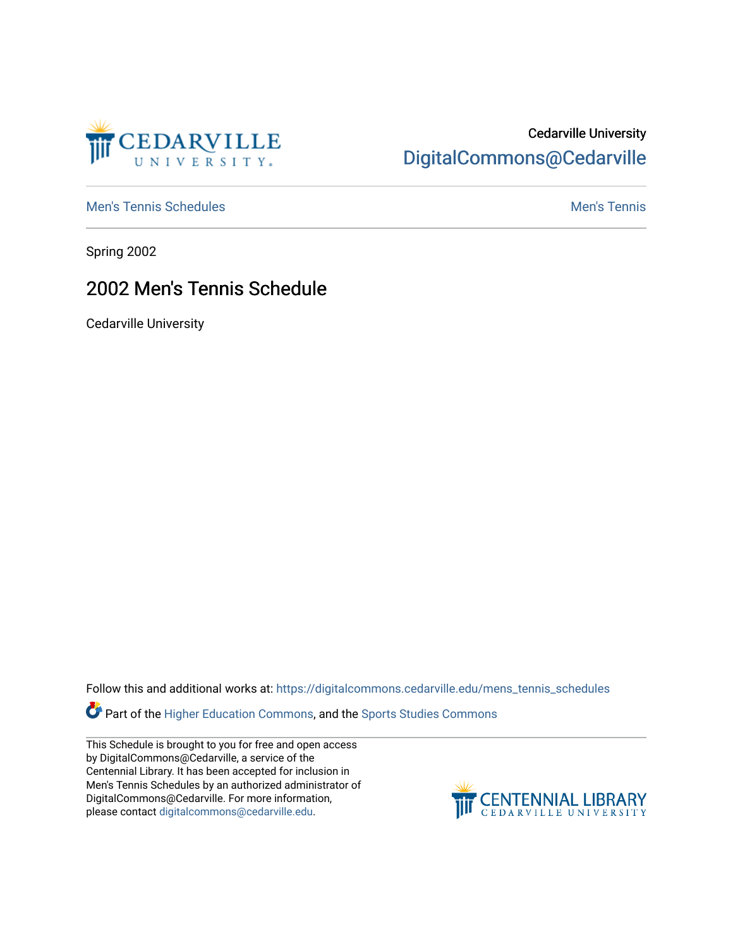

### Cedarville University [DigitalCommons@Cedarville](https://digitalcommons.cedarville.edu/)

[Men's Tennis Schedules](https://digitalcommons.cedarville.edu/mens_tennis_schedules) [Men's Tennis](https://digitalcommons.cedarville.edu/mens_tennis) Schedules Men's Tennis Schedules Men's Tennis

Spring 2002

#### 2002 Men's Tennis Schedule

Cedarville University

Follow this and additional works at: [https://digitalcommons.cedarville.edu/mens\\_tennis\\_schedules](https://digitalcommons.cedarville.edu/mens_tennis_schedules?utm_source=digitalcommons.cedarville.edu%2Fmens_tennis_schedules%2F37&utm_medium=PDF&utm_campaign=PDFCoverPages) 

**Part of the [Higher Education Commons,](http://network.bepress.com/hgg/discipline/1245?utm_source=digitalcommons.cedarville.edu%2Fmens_tennis_schedules%2F37&utm_medium=PDF&utm_campaign=PDFCoverPages) and the Sports Studies Commons** 

This Schedule is brought to you for free and open access by DigitalCommons@Cedarville, a service of the Centennial Library. It has been accepted for inclusion in Men's Tennis Schedules by an authorized administrator of DigitalCommons@Cedarville. For more information, please contact [digitalcommons@cedarville.edu](mailto:digitalcommons@cedarville.edu).